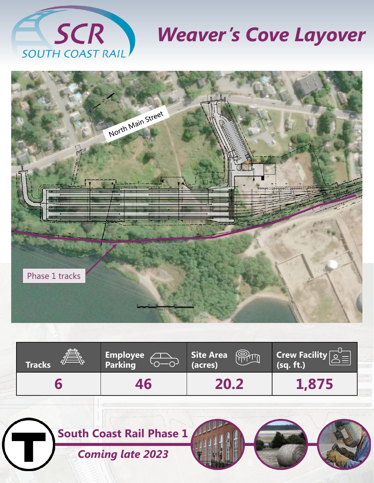

# *Weaver's Cove Layover*